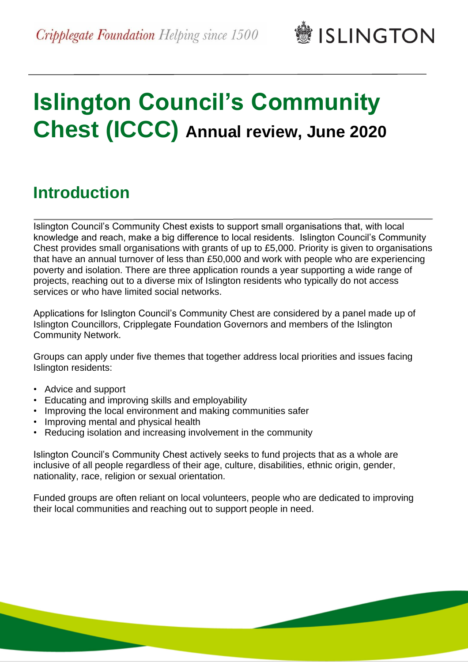**鬱ISLINGTON** 

# **Islington Council's Community Chest (ICCC) Annual review, June 2020**

## **Introduction**

Islington Council's Community Chest exists to support small organisations that, with local knowledge and reach, make a big difference to local residents. Islington Council's Community Chest provides small organisations with grants of up to £5,000. Priority is given to organisations that have an annual turnover of less than £50,000 and work with people who are experiencing poverty and isolation. There are three application rounds a year supporting a wide range of projects, reaching out to a diverse mix of Islington residents who typically do not access services or who have limited social networks.

Applications for Islington Council's Community Chest are considered by a panel made up of Islington Councillors, Cripplegate Foundation Governors and members of the Islington Community Network.

Groups can apply under five themes that together address local priorities and issues facing Islington residents:

- Advice and support
- Educating and improving skills and employability
- Improving the local environment and making communities safer
- Improving mental and physical health
- Reducing isolation and increasing involvement in the community

Islington Council's Community Chest actively seeks to fund projects that as a whole are inclusive of all people regardless of their age, culture, disabilities, ethnic origin, gender, nationality, race, religion or sexual orientation.

Funded groups are often reliant on local volunteers, people who are dedicated to improving their local communities and reaching out to support people in need.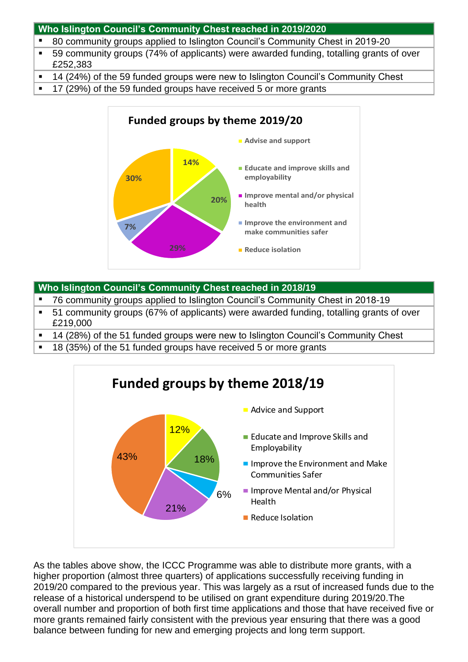#### **Who Islington Council's Community Chest reached in 2019/2020**

- 80 community groups applied to Islington Council's Community Chest in 2019-20
- 59 community groups (74% of applicants) were awarded funding, totalling grants of over £252,383
- 14 (24%) of the 59 funded groups were new to Islington Council's Community Chest
- 17 (29%) of the 59 funded groups have received 5 or more grants



#### **Who Islington Council's Community Chest reached in 2018/19**

- 76 community groups applied to Islington Council's Community Chest in 2018-19
- 51 community groups (67% of applicants) were awarded funding, totalling grants of over £219,000
- 14 (28%) of the 51 funded groups were new to Islington Council's Community Chest
- 18 (35%) of the 51 funded groups have received 5 or more grants



As the tables above show, the ICCC Programme was able to distribute more grants, with a higher proportion (almost three quarters) of applications successfully receiving funding in 2019/20 compared to the previous year. This was largely as a rsut of increased funds due to the release of a historical underspend to be utilised on grant expenditure during 2019/20.The overall number and proportion of both first time applications and those that have received five or more grants remained fairly consistent with the previous year ensuring that there was a good balance between funding for new and emerging projects and long term support.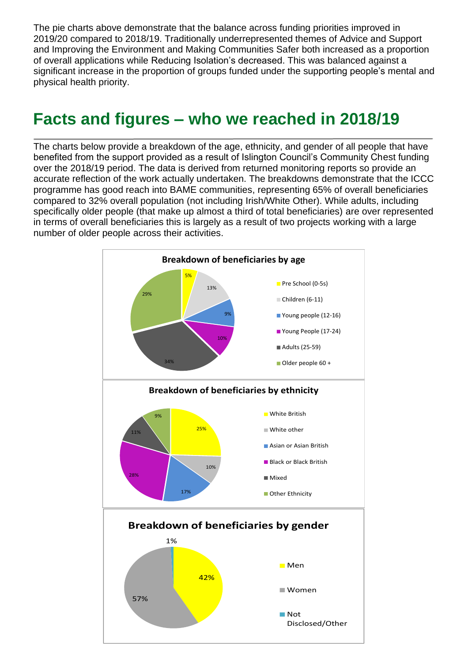The pie charts above demonstrate that the balance across funding priorities improved in 2019/20 compared to 2018/19. Traditionally underrepresented themes of Advice and Support and Improving the Environment and Making Communities Safer both increased as a proportion of overall applications while Reducing Isolation's decreased. This was balanced against a significant increase in the proportion of groups funded under the supporting people's mental and physical health priority.

### **Facts and figures – who we reached in 2018/19**

The charts below provide a breakdown of the age, ethnicity, and gender of all people that have benefited from the support provided as a result of Islington Council's Community Chest funding over the 2018/19 period. The data is derived from returned monitoring reports so provide an accurate reflection of the work actually undertaken. The breakdowns demonstrate that the ICCC programme has good reach into BAME communities, representing 65% of overall beneficiaries compared to 32% overall population (not including Irish/White Other). While adults, including specifically older people (that make up almost a third of total beneficiaries) are over represented in terms of overall beneficiaries this is largely as a result of two projects working with a large number of older people across their activities.

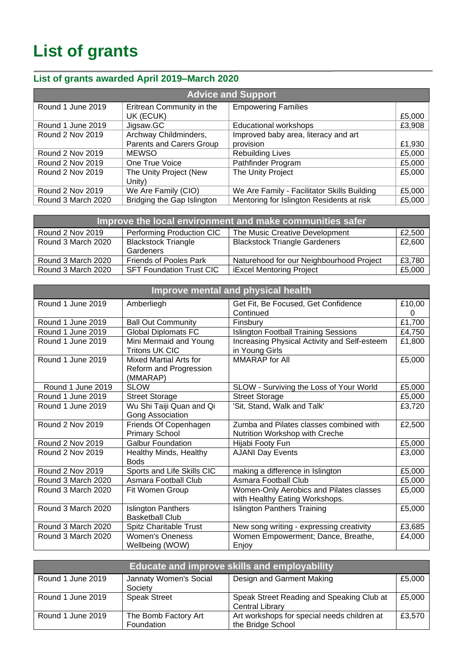# **List of grants**

### **List of grants awarded April 2019–March 2020**

| <b>Advice and Support</b> |                            |                                             |        |
|---------------------------|----------------------------|---------------------------------------------|--------|
| Round 1 June 2019         | Eritrean Community in the  | <b>Empowering Families</b>                  |        |
|                           | UK (ECUK)                  |                                             | £5,000 |
| Round 1 June 2019         | Jigsaw.GC                  | <b>Educational workshops</b>                | £3,908 |
| <b>Round 2 Nov 2019</b>   | Archway Childminders,      | Improved baby area, literacy and art        |        |
|                           | Parents and Carers Group   | provision                                   | £1,930 |
| <b>Round 2 Nov 2019</b>   | <b>MEWSO</b>               | <b>Rebuilding Lives</b>                     | £5,000 |
| <b>Round 2 Nov 2019</b>   | One True Voice             | Pathfinder Program                          | £5,000 |
| <b>Round 2 Nov 2019</b>   | The Unity Project (New     | The Unity Project                           | £5,000 |
|                           | Unity)                     |                                             |        |
| <b>Round 2 Nov 2019</b>   | We Are Family (CIO)        | We Are Family - Facilitator Skills Building | £5,000 |
| Round 3 March 2020        | Bridging the Gap Islington | Mentoring for Islington Residents at risk   | £5,000 |

| Improve the local environment and make communities safer |                                         |                                          |        |
|----------------------------------------------------------|-----------------------------------------|------------------------------------------|--------|
| Round 2 Nov 2019                                         | Performing Production CIC               | The Music Creative Development           | £2,500 |
| Round 3 March 2020                                       | <b>Blackstock Triangle</b><br>Gardeners | <b>Blackstock Triangle Gardeners</b>     | £2,600 |
| Round 3 March 2020                                       | <b>Friends of Pooles Park</b>           | Naturehood for our Neighbourhood Project | £3,780 |
| Round 3 March 2020                                       | <b>SFT Foundation Trust CIC</b>         | <b>iExcel Mentoring Project</b>          | £5,000 |

| Improve mental and physical health |                                       |                                                                           |        |
|------------------------------------|---------------------------------------|---------------------------------------------------------------------------|--------|
| Round 1 June 2019                  | Amberliegh                            | Get Fit, Be Focused, Get Confidence                                       | £10,00 |
|                                    |                                       | Continued                                                                 | 0      |
| Round 1 June 2019                  | <b>Ball Out Community</b>             | Finsbury                                                                  | £1,700 |
| Round 1 June 2019                  | <b>Global Diplomats FC</b>            | <b>Islington Football Training Sessions</b>                               | £4,750 |
| Round 1 June 2019                  | Mini Mermaid and Young                | Increasing Physical Activity and Self-esteem                              | £1,800 |
|                                    | <b>Tritons UK CIC</b>                 | in Young Girls                                                            |        |
| Round 1 June 2019                  | <b>Mixed Martial Arts for</b>         | <b>MMARAP</b> for All                                                     | £5,000 |
|                                    | Reform and Progression<br>(MMARAP)    |                                                                           |        |
| Round 1 June 2019                  | <b>SLOW</b>                           | SLOW - Surviving the Loss of Your World                                   | £5,000 |
| Round 1 June 2019                  | <b>Street Storage</b>                 | <b>Street Storage</b>                                                     | £5,000 |
| Round 1 June 2019                  | Wu Shi Taiji Quan and Qi              | 'Sit, Stand, Walk and Talk'                                               | £3,720 |
|                                    | Gong Association                      |                                                                           |        |
| <b>Round 2 Nov 2019</b>            | Friends Of Copenhagen                 | Zumba and Pilates classes combined with                                   | £2,500 |
|                                    | <b>Primary School</b>                 | Nutrition Workshop with Creche                                            |        |
| <b>Round 2 Nov 2019</b>            | <b>Galbur Foundation</b>              | Hijabi Footy Fun                                                          | £5,000 |
| <b>Round 2 Nov 2019</b>            | Healthy Minds, Healthy<br><b>Bods</b> | <b>AJANI Day Events</b>                                                   | £3,000 |
| Round 2 Nov 2019                   | Sports and Life Skills CIC            | making a difference in Islington                                          | £5,000 |
| Round 3 March 2020                 | Asmara Football Club                  | Asmara Football Club                                                      | £5,000 |
| Round 3 March 2020                 | Fit Women Group                       | Women-Only Aerobics and Pilates classes<br>with Healthy Eating Workshops. | £5,000 |
| Round 3 March 2020                 | <b>Islington Panthers</b>             | Islington Panthers Training                                               | £5,000 |
|                                    | <b>Basketball Club</b>                |                                                                           |        |
| Round 3 March 2020                 | Spitz Charitable Trust                | New song writing - expressing creativity                                  | £3,685 |
| Round 3 March 2020                 | Women's Oneness                       | Women Empowerment; Dance, Breathe,                                        | £4,000 |
|                                    | Wellbeing (WOW)                       | Enjoy                                                                     |        |

| Educate and improve skills and employability |                                    |                                                                  |        |
|----------------------------------------------|------------------------------------|------------------------------------------------------------------|--------|
| Round 1 June 2019                            | Jannaty Women's Social<br>Society  | Design and Garment Making                                        | £5,000 |
| Round 1 June 2019                            | <b>Speak Street</b>                | Speak Street Reading and Speaking Club at<br>Central Library     | £5,000 |
| Round 1 June 2019                            | The Bomb Factory Art<br>Foundation | Art workshops for special needs children at<br>the Bridge School | £3,570 |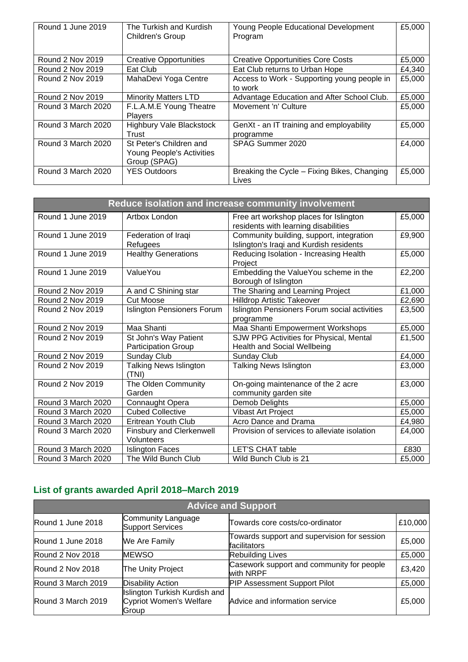| Round 1 June 2019       | The Turkish and Kurdish<br>Children's Group                          | Young People Educational Development<br>Program        | £5,000 |
|-------------------------|----------------------------------------------------------------------|--------------------------------------------------------|--------|
| Round 2 Nov 2019        | <b>Creative Opportunities</b>                                        | <b>Creative Opportunities Core Costs</b>               | £5,000 |
| <b>Round 2 Nov 2019</b> | Eat Club                                                             | Eat Club returns to Urban Hope                         | £4,340 |
| <b>Round 2 Nov 2019</b> | MahaDevi Yoga Centre                                                 | Access to Work - Supporting young people in<br>to work | £5,000 |
| Round 2 Nov 2019        | <b>Minority Matters LTD</b>                                          | Advantage Education and After School Club.             | £5,000 |
| Round 3 March 2020      | F.L.A.M.E Young Theatre<br>Players                                   | Movement 'n' Culture                                   | £5,000 |
| Round 3 March 2020      | <b>Highbury Vale Blackstock</b><br>Trust                             | GenXt - an IT training and employability<br>programme  | £5,000 |
| Round 3 March 2020      | St Peter's Children and<br>Young People's Activities<br>Group (SPAG) | SPAG Summer 2020                                       | £4,000 |
| Round 3 March 2020      | <b>YES Outdoors</b>                                                  | Breaking the Cycle – Fixing Bikes, Changing<br>Lives   | £5,000 |

| Reduce isolation and increase community involvement |                                                     |                                                                                     |        |
|-----------------------------------------------------|-----------------------------------------------------|-------------------------------------------------------------------------------------|--------|
| Round 1 June 2019                                   | Artbox London                                       | Free art workshop places for Islington<br>residents with learning disabilities      | £5,000 |
| Round 1 June 2019                                   | Federation of Iraqi<br>Refugees                     | Community building, support, integration<br>Islington's Iraqi and Kurdish residents | £9,900 |
| Round 1 June 2019                                   | <b>Healthy Generations</b>                          | Reducing Isolation - Increasing Health<br>Project                                   | £5,000 |
| Round 1 June 2019                                   | ValueYou                                            | Embedding the ValueYou scheme in the<br>Borough of Islington                        | £2,200 |
| Round 2 Nov 2019                                    | A and C Shining star                                | The Sharing and Learning Project                                                    | £1,000 |
| <b>Round 2 Nov 2019</b>                             | <b>Cut Moose</b>                                    | <b>Hilldrop Artistic Takeover</b>                                                   | £2,690 |
| Round 2 Nov 2019                                    | <b>Islington Pensioners Forum</b>                   | Islington Pensioners Forum social activities<br>programme                           | £3,500 |
| <b>Round 2 Nov 2019</b>                             | Maa Shanti                                          | Maa Shanti Empowerment Workshops                                                    | £5,000 |
| Round 2 Nov 2019                                    | St John's Way Patient<br><b>Participation Group</b> | SJW PPG Activities for Physical, Mental<br>Health and Social Wellbeing              | £1,500 |
| <b>Round 2 Nov 2019</b>                             | Sunday Club                                         | <b>Sunday Club</b>                                                                  | £4,000 |
| <b>Round 2 Nov 2019</b>                             | <b>Talking News Islington</b><br>(TNI)              | <b>Talking News Islington</b>                                                       | £3,000 |
| Round 2 Nov 2019                                    | The Olden Community<br>Garden                       | On-going maintenance of the 2 acre<br>community garden site                         | £3,000 |
| Round 3 March 2020                                  | Connaught Opera                                     | Demob Delights                                                                      | £5,000 |
| Round 3 March 2020                                  | <b>Cubed Collective</b>                             | <b>Vibast Art Project</b>                                                           | £5,000 |
| Round 3 March 2020                                  | Eritrean Youth Club                                 | Acro Dance and Drama                                                                | £4,980 |
| Round 3 March 2020                                  | <b>Finsbury and Clerkenwell</b><br>Volunteers       | Provision of services to alleviate isolation                                        | £4,000 |
| Round 3 March 2020                                  | <b>Islington Faces</b>                              | <b>LET'S CHAT table</b>                                                             | £830   |
| Round 3 March 2020                                  | The Wild Bunch Club                                 | Wild Bunch Club is 21                                                               | £5,000 |

### **List of grants awarded April 2018–March 2019**

| <b>Advice and Support</b> |                                                                   |                                                             |         |
|---------------------------|-------------------------------------------------------------------|-------------------------------------------------------------|---------|
| Round 1 June 2018         | Community Language<br><b>Support Services</b>                     | Towards core costs/co-ordinator                             | £10,000 |
| Round 1 June 2018         | We Are Family                                                     | Towards support and supervision for session<br>facilitators | £5,000  |
| Round 2 Nov 2018          | <b>MEWSO</b>                                                      | <b>Rebuilding Lives</b>                                     | £5,000  |
| Round 2 Nov 2018          | The Unity Project                                                 | Casework support and community for people<br>with NRPF      | £3,420  |
| Round 3 March 2019        | <b>Disability Action</b>                                          | <b>PIP Assessment Support Pilot</b>                         | £5,000  |
| Round 3 March 2019        | Islington Turkish Kurdish and<br>Cypriot Women's Welfare<br>Group | Advice and information service                              | £5,000  |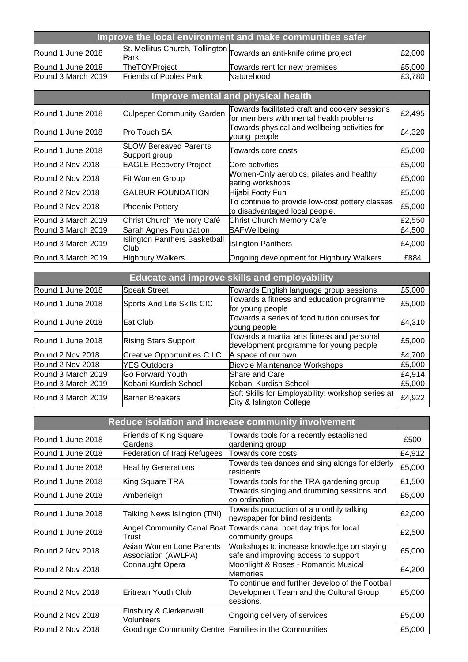| Improve the local environment and make communities safer                                                   |                               |                               |        |
|------------------------------------------------------------------------------------------------------------|-------------------------------|-------------------------------|--------|
| St. Mellitus Church, Tollington Towards an anti-knife crime project<br>Round 1 June 2018<br>£2,000<br>Park |                               |                               |        |
| Round 1 June 2018                                                                                          | <b>TheTOYProject</b>          | Towards rent for new premises | £5,000 |
| Round 3 March 2019                                                                                         | <b>Friends of Pooles Park</b> | Naturehood                    | £3.780 |

| Improve mental and physical health |                                               |                                                                                           |        |
|------------------------------------|-----------------------------------------------|-------------------------------------------------------------------------------------------|--------|
| Round 1 June 2018                  | <b>Culpeper Community Garden</b>              | Towards facilitated craft and cookery sessions<br>for members with mental health problems | £2,495 |
| Round 1 June 2018                  | <b>Pro Touch SA</b>                           | Towards physical and wellbeing activities for<br>young people                             | £4,320 |
| Round 1 June 2018                  | <b>SLOW Bereaved Parents</b><br>Support group | Towards core costs                                                                        | £5,000 |
| Round 2 Nov 2018                   | <b>EAGLE Recovery Project</b>                 | Core activities                                                                           | £5,000 |
| Round 2 Nov 2018                   | <b>Fit Women Group</b>                        | Women-Only aerobics, pilates and healthy<br>eating workshops                              | £5,000 |
| Round 2 Nov 2018                   | <b>GALBUR FOUNDATION</b>                      | Hijabi Footy Fun                                                                          | £5,000 |
| Round 2 Nov 2018                   | <b>Phoenix Pottery</b>                        | To continue to provide low-cost pottery classes<br>to disadvantaged local people.         | £5,000 |
| Round 3 March 2019                 | Christ Church Memory Café                     | <b>Christ Church Memory Cafe</b>                                                          | £2,550 |
| Round 3 March 2019                 | Sarah Agnes Foundation                        | SAFWellbeing                                                                              | £4,500 |
| Round 3 March 2019                 | <b>Islington Panthers Basketball</b><br>Club  | <b>Islington Panthers</b>                                                                 | £4,000 |
| Round 3 March 2019                 | <b>Highbury Walkers</b>                       | Ongoing development for Highbury Walkers                                                  | £884   |

| Educate and improve skills and employability |                              |                                                                                       |        |
|----------------------------------------------|------------------------------|---------------------------------------------------------------------------------------|--------|
| Round 1 June 2018                            | <b>Speak Street</b>          | Towards English language group sessions                                               | £5,000 |
| Round 1 June 2018                            | Sports And Life Skills CIC   | Towards a fitness and education programme<br>for young people                         | £5,000 |
| Round 1 June 2018                            | Eat Club                     | Towards a series of food tuition courses for<br>voung people                          | £4,310 |
| Round 1 June 2018                            | <b>Rising Stars Support</b>  | Towards a martial arts fitness and personal<br>development programme for young people | £5,000 |
| Round 2 Nov 2018                             | Creative Opportunities C.I.C | A space of our own                                                                    | £4,700 |
| Round 2 Nov 2018                             | <b>YES Outdoors</b>          | <b>Bicycle Maintenance Workshops</b>                                                  | £5,000 |
| Round 3 March 2019                           | <b>Go Forward Youth</b>      | <b>Share and Care</b>                                                                 | £4,914 |
| Round 3 March 2019                           | Kobani Kurdish School        | Kobani Kurdish School                                                                 | £5,000 |
| Round 3 March 2019                           | <b>Barrier Breakers</b>      | Soft Skills for Employability: workshop series at<br>City & Islington College         | £4,922 |

| Reduce isolation and increase community involvement |                                                        |                                                                                                         |        |
|-----------------------------------------------------|--------------------------------------------------------|---------------------------------------------------------------------------------------------------------|--------|
| Round 1 June 2018                                   | <b>Friends of King Square</b><br>Gardens               | Towards tools for a recently established<br>gardening group                                             | £500   |
| Round 1 June 2018                                   | Federation of Iraqi Refugees                           | Towards core costs                                                                                      | £4,912 |
| Round 1 June 2018                                   | <b>Healthy Generations</b>                             | Towards tea dances and sing alongs for elderly<br>residents                                             | £5,000 |
| Round 1 June 2018                                   | King Square TRA                                        | Towards tools for the TRA gardening group                                                               | £1,500 |
| Round 1 June 2018                                   | Amberleigh                                             | Towards singing and drumming sessions and<br>co-ordination                                              | £5,000 |
| Round 1 June 2018                                   | Talking News Islington (TNI)                           | Towards production of a monthly talking<br>newspaper for blind residents                                | £2,000 |
| Round 1 June 2018                                   | Trust                                                  | Angel Community Canal Boat Towards canal boat day trips for local<br>community groups                   | £2,500 |
| Round 2 Nov 2018                                    | Asian Women Lone Parents<br><b>Association (AWLPA)</b> | Workshops to increase knowledge on staying<br>safe and improving access to support                      | £5,000 |
| Round 2 Nov 2018                                    | Connaught Opera                                        | Moonlight & Roses - Romantic Musical<br>Memories                                                        | £4,200 |
| Round 2 Nov 2018                                    | <b>Eritrean Youth Club</b>                             | To continue and further develop of the Football<br>Development Team and the Cultural Group<br>sessions. | £5,000 |
| Round 2 Nov 2018                                    | Finsbury & Clerkenwell<br>Volunteers                   | Ongoing delivery of services                                                                            | £5,000 |
| Round 2 Nov 2018                                    | Goodinge Community Centre Families in the Communities  |                                                                                                         | £5,000 |